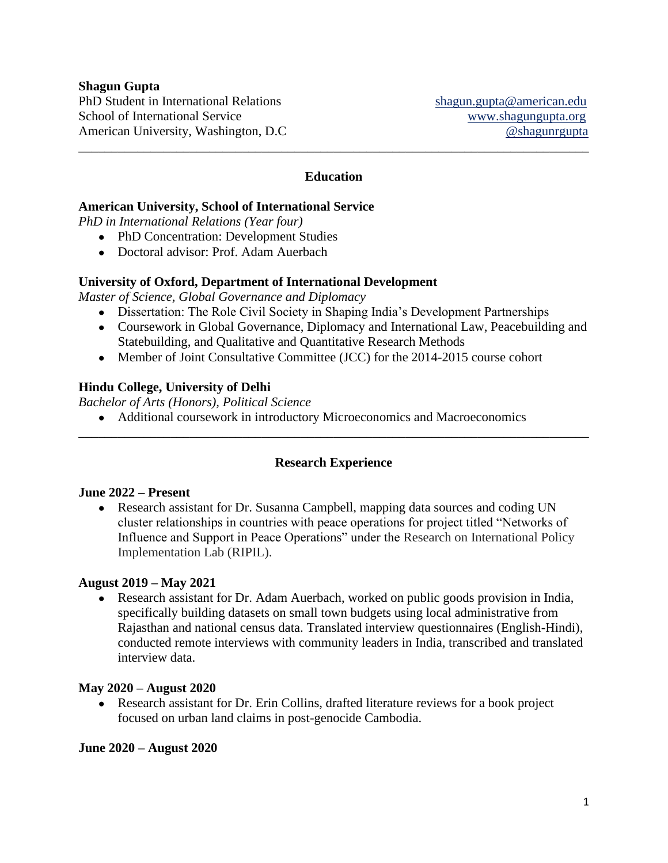## **Shagun Gupta**

PhD Student in International Relations [shagun.gupta@american.edu](mailto:shagun.gupta@american.edu) School of International Service <www.shagungupta.org> American University, Washington, D.C  $\qquad \qquad \textcircled{shagungupta}$ 

## **Education**

\_\_\_\_\_\_\_\_\_\_\_\_\_\_\_\_\_\_\_\_\_\_\_\_\_\_\_\_\_\_\_\_\_\_\_\_\_\_\_\_\_\_\_\_\_\_\_\_\_\_\_\_\_\_\_\_\_\_\_\_\_\_\_\_\_\_\_\_\_\_\_\_\_\_\_\_\_\_

### **American University, School of International Service**

*PhD in International Relations (Year four)*

- PhD Concentration: Development Studies
- Doctoral advisor: Prof. Adam Auerbach

### **University of Oxford, Department of International Development**

*Master of Science, Global Governance and Diplomacy*

- Dissertation: The Role Civil Society in Shaping India's Development Partnerships
- Coursework in Global Governance, Diplomacy and International Law, Peacebuilding and Statebuilding, and Qualitative and Quantitative Research Methods
- Member of Joint Consultative Committee (JCC) for the 2014-2015 course cohort

### **Hindu College, University of Delhi**

*Bachelor of Arts (Honors), Political Science*

● Additional coursework in introductory Microeconomics and Macroeconomics

### **Research Experience**

\_\_\_\_\_\_\_\_\_\_\_\_\_\_\_\_\_\_\_\_\_\_\_\_\_\_\_\_\_\_\_\_\_\_\_\_\_\_\_\_\_\_\_\_\_\_\_\_\_\_\_\_\_\_\_\_\_\_\_\_\_\_\_\_\_\_\_\_\_\_\_\_\_\_\_\_\_\_

### **June 2022 – Present**

• Research assistant for Dr. Susanna Campbell, mapping data sources and coding UN cluster relationships in countries with peace operations for project titled "Networks of Influence and Support in Peace Operations" under the Research on International Policy Implementation Lab (RIPIL).

### **August 2019 – May 2021**

• Research assistant for Dr. Adam Auerbach, worked on public goods provision in India, specifically building datasets on small town budgets using local administrative from Rajasthan and national census data. Translated interview questionnaires (English-Hindi), conducted remote interviews with community leaders in India, transcribed and translated interview data.

### **May 2020 – August 2020**

• Research assistant for Dr. Erin Collins, drafted literature reviews for a book project focused on urban land claims in post-genocide Cambodia.

### **June 2020 – August 2020**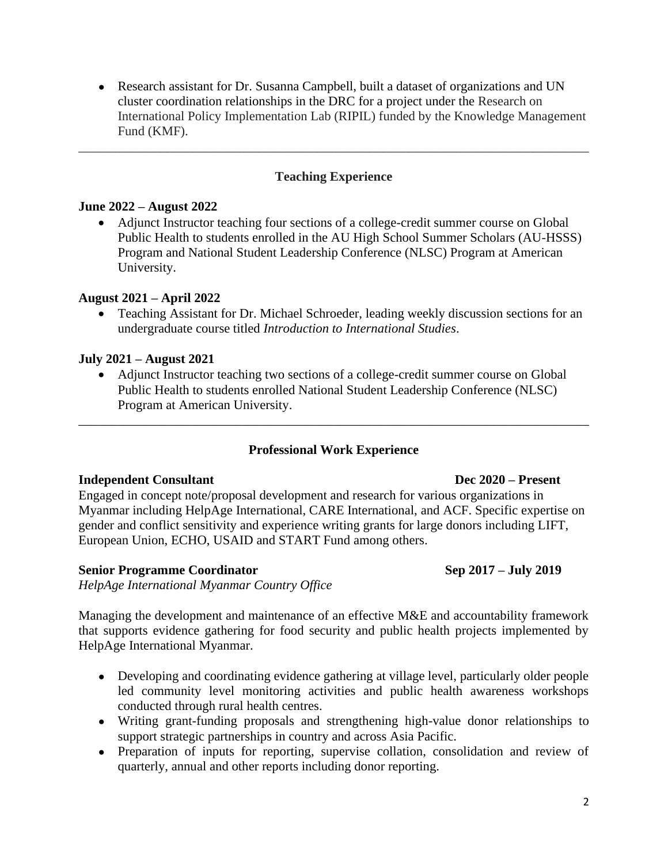• Research assistant for Dr. Susanna Campbell, built a dataset of organizations and UN cluster coordination relationships in the DRC for a project under the Research on International Policy Implementation Lab (RIPIL) funded by the Knowledge Management Fund (KMF).

# **Teaching Experience**

\_\_\_\_\_\_\_\_\_\_\_\_\_\_\_\_\_\_\_\_\_\_\_\_\_\_\_\_\_\_\_\_\_\_\_\_\_\_\_\_\_\_\_\_\_\_\_\_\_\_\_\_\_\_\_\_\_\_\_\_\_\_\_\_\_\_\_\_\_\_\_\_\_\_\_\_\_\_

## **June 2022 – August 2022**

• Adjunct Instructor teaching four sections of a college-credit summer course on Global Public Health to students enrolled in the AU High School Summer Scholars (AU-HSSS) Program and National Student Leadership Conference (NLSC) Program at American University.

## **August 2021 – April 2022**

• Teaching Assistant for Dr. Michael Schroeder, leading weekly discussion sections for an undergraduate course titled *Introduction to International Studies*.

### **July 2021 – August 2021**

• Adjunct Instructor teaching two sections of a college-credit summer course on Global Public Health to students enrolled National Student Leadership Conference (NLSC) Program at American University.

\_\_\_\_\_\_\_\_\_\_\_\_\_\_\_\_\_\_\_\_\_\_\_\_\_\_\_\_\_\_\_\_\_\_\_\_\_\_\_\_\_\_\_\_\_\_\_\_\_\_\_\_\_\_\_\_\_\_\_\_\_\_\_\_\_\_\_\_\_\_\_\_\_\_\_\_\_\_

# **Professional Work Experience**

### **Independent Consultant Dec 2020 – Present**

Engaged in concept note/proposal development and research for various organizations in Myanmar including HelpAge International, CARE International, and ACF. Specific expertise on gender and conflict sensitivity and experience writing grants for large donors including LIFT, European Union, ECHO, USAID and START Fund among others.

### **Senior Programme Coordinator Sep 2017 – July 2019**

*HelpAge International Myanmar Country Office*

Managing the development and maintenance of an effective M&E and accountability framework that supports evidence gathering for food security and public health projects implemented by HelpAge International Myanmar.

- Developing and coordinating evidence gathering at village level, particularly older people led community level monitoring activities and public health awareness workshops conducted through rural health centres.
- Writing grant-funding proposals and strengthening high-value donor relationships to support strategic partnerships in country and across Asia Pacific.
- Preparation of inputs for reporting, supervise collation, consolidation and review of quarterly, annual and other reports including donor reporting.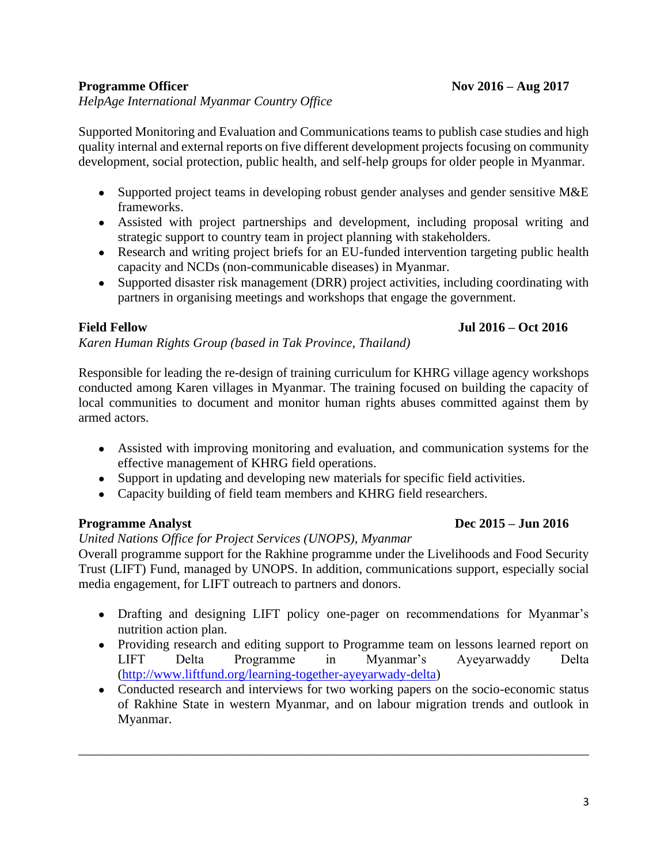## **Programme Officer Nov 2016 – Aug 2017**

## *HelpAge International Myanmar Country Office*

Supported Monitoring and Evaluation and Communications teams to publish case studies and high quality internal and external reports on five different development projects focusing on community development, social protection, public health, and self-help groups for older people in Myanmar.

- Supported project teams in developing robust gender analyses and gender sensitive M&E frameworks.
- Assisted with project partnerships and development, including proposal writing and strategic support to country team in project planning with stakeholders.
- Research and writing project briefs for an EU-funded intervention targeting public health capacity and NCDs (non-communicable diseases) in Myanmar.
- Supported disaster risk management (DRR) project activities, including coordinating with partners in organising meetings and workshops that engage the government.

## **Field Fellow Jul 2016 – Oct 2016**

*Karen Human Rights Group (based in Tak Province, Thailand)*

Responsible for leading the re-design of training curriculum for KHRG village agency workshops conducted among Karen villages in Myanmar. The training focused on building the capacity of local communities to document and monitor human rights abuses committed against them by armed actors.

- Assisted with improving monitoring and evaluation, and communication systems for the effective management of KHRG field operations.
- Support in updating and developing new materials for specific field activities.
- Capacity building of field team members and KHRG field researchers.

# *United Nations Office for Project Services (UNOPS), Myanmar*

Overall programme support for the Rakhine programme under the Livelihoods and Food Security Trust (LIFT) Fund, managed by UNOPS. In addition, communications support, especially social media engagement, for LIFT outreach to partners and donors.

- Drafting and designing LIFT policy one-pager on recommendations for Myanmar's nutrition action plan.
- Providing research and editing support to Programme team on lessons learned report on LIFT Delta Programme in Myanmar's Ayeyarwaddy Delta [\(http://www.liftfund.org/learning-together-ayeyarwady-delta\)](http://www.liftfund.org/learning-together-ayeyarwady-delta)
- Conducted research and interviews for two working papers on the socio-economic status of Rakhine State in western Myanmar, and on labour migration trends and outlook in Myanmar.

\_\_\_\_\_\_\_\_\_\_\_\_\_\_\_\_\_\_\_\_\_\_\_\_\_\_\_\_\_\_\_\_\_\_\_\_\_\_\_\_\_\_\_\_\_\_\_\_\_\_\_\_\_\_\_\_\_\_\_\_\_\_\_\_\_\_\_\_\_\_\_\_\_\_\_\_\_\_

# **Programme Analyst** Dec 2015 – Jun 2016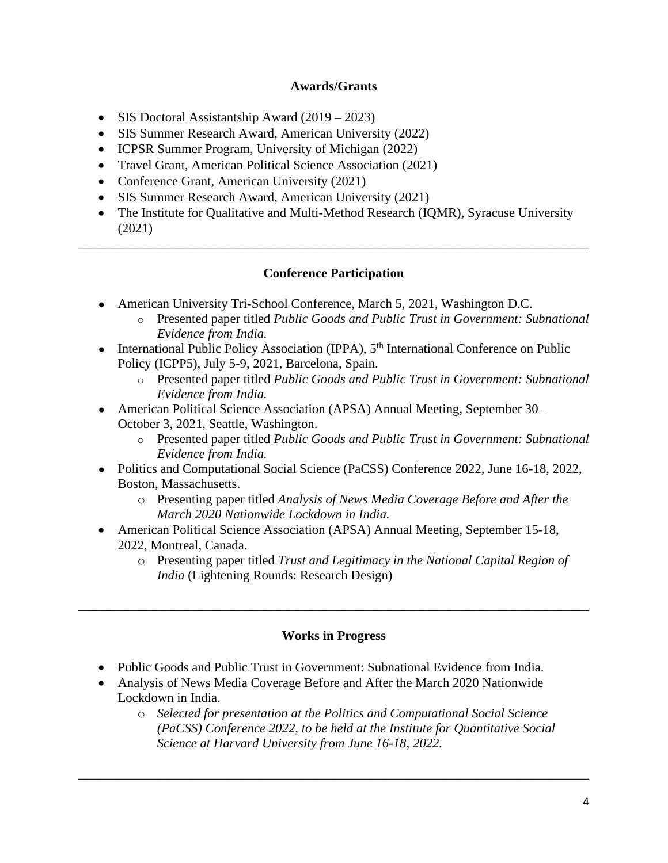# **Awards/Grants**

- SIS Doctoral Assistantship Award (2019 2023)
- SIS Summer Research Award, American University (2022)
- ICPSR Summer Program, University of Michigan (2022)
- Travel Grant, American Political Science Association (2021)
- Conference Grant, American University (2021)
- SIS Summer Research Award, American University (2021)
- The Institute for Qualitative and Multi-Method Research (IQMR), Syracuse University (2021)

# **Conference Participation**

\_\_\_\_\_\_\_\_\_\_\_\_\_\_\_\_\_\_\_\_\_\_\_\_\_\_\_\_\_\_\_\_\_\_\_\_\_\_\_\_\_\_\_\_\_\_\_\_\_\_\_\_\_\_\_\_\_\_\_\_\_\_\_\_\_\_\_\_\_\_\_\_\_\_\_\_\_\_

- American University Tri-School Conference, March 5, 2021, Washington D.C.
	- o Presented paper titled *Public Goods and Public Trust in Government: Subnational Evidence from India.*
- International Public Policy Association (IPPA),  $5<sup>th</sup>$  International Conference on Public Policy (ICPP5), July 5-9, 2021, Barcelona, Spain.
	- o Presented paper titled *Public Goods and Public Trust in Government: Subnational Evidence from India.*
- American Political Science Association (APSA) Annual Meeting, September 30 October 3, 2021, Seattle, Washington.
	- o Presented paper titled *Public Goods and Public Trust in Government: Subnational Evidence from India.*
- Politics and Computational Social Science (PaCSS) Conference 2022, June 16-18, 2022, Boston, Massachusetts.
	- o Presenting paper titled *Analysis of News Media Coverage Before and After the March 2020 Nationwide Lockdown in India.*
- American Political Science Association (APSA) Annual Meeting, September 15-18, 2022, Montreal, Canada.
	- o Presenting paper titled *Trust and Legitimacy in the National Capital Region of India* (Lightening Rounds: Research Design)

# **Works in Progress**

\_\_\_\_\_\_\_\_\_\_\_\_\_\_\_\_\_\_\_\_\_\_\_\_\_\_\_\_\_\_\_\_\_\_\_\_\_\_\_\_\_\_\_\_\_\_\_\_\_\_\_\_\_\_\_\_\_\_\_\_\_\_\_\_\_\_\_\_\_\_\_\_\_\_\_\_\_\_

- Public Goods and Public Trust in Government: Subnational Evidence from India.
- Analysis of News Media Coverage Before and After the March 2020 Nationwide Lockdown in India.
	- o *Selected for presentation at the Politics and Computational Social Science (PaCSS) Conference 2022, to be held at the Institute for Quantitative Social Science at Harvard University from June 16-18, 2022.*

\_\_\_\_\_\_\_\_\_\_\_\_\_\_\_\_\_\_\_\_\_\_\_\_\_\_\_\_\_\_\_\_\_\_\_\_\_\_\_\_\_\_\_\_\_\_\_\_\_\_\_\_\_\_\_\_\_\_\_\_\_\_\_\_\_\_\_\_\_\_\_\_\_\_\_\_\_\_